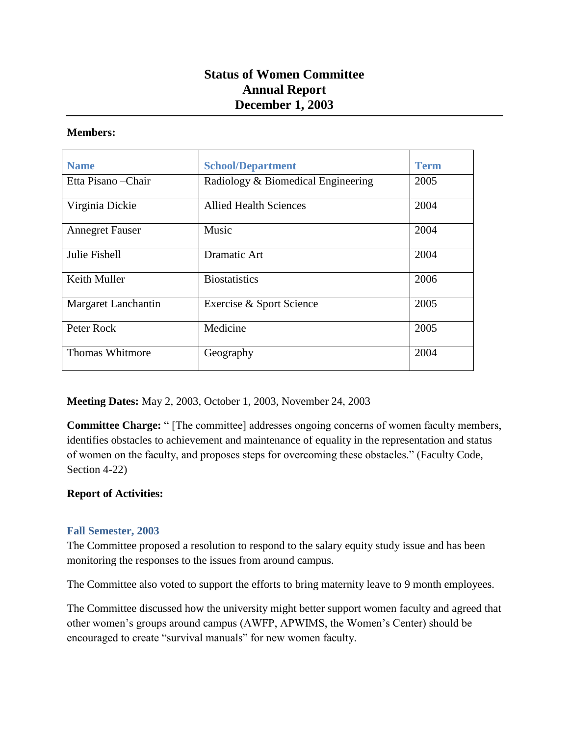## **Status of Women Committee Annual Report December 1, 2003**

**Members:**

| <b>Name</b>            | <b>School/Department</b>           | <b>Term</b> |
|------------------------|------------------------------------|-------------|
| Etta Pisano – Chair    | Radiology & Biomedical Engineering | 2005        |
| Virginia Dickie        | <b>Allied Health Sciences</b>      | 2004        |
| <b>Annegret Fauser</b> | Music                              | 2004        |
| Julie Fishell          | <b>Dramatic Art</b>                | 2004        |
| Keith Muller           | <b>Biostatistics</b>               | 2006        |
| Margaret Lanchantin    | Exercise & Sport Science           | 2005        |
| Peter Rock             | Medicine                           | 2005        |
| <b>Thomas Whitmore</b> | Geography                          | 2004        |

**Meeting Dates:** May 2, 2003, October 1, 2003, November 24, 2003

**Committee Charge:** " [The committee] addresses ongoing concerns of women faculty members, identifies obstacles to achievement and maintenance of equality in the representation and status of women on the faculty, and proposes steps for overcoming these obstacles." (Faculty Code, Section 4-22)

## **Report of Activities:**

## **Fall Semester, 2003**

The Committee proposed a resolution to respond to the salary equity study issue and has been monitoring the responses to the issues from around campus.

The Committee also voted to support the efforts to bring maternity leave to 9 month employees.

The Committee discussed how the university might better support women faculty and agreed that other women's groups around campus (AWFP, APWIMS, the Women's Center) should be encouraged to create "survival manuals" for new women faculty.